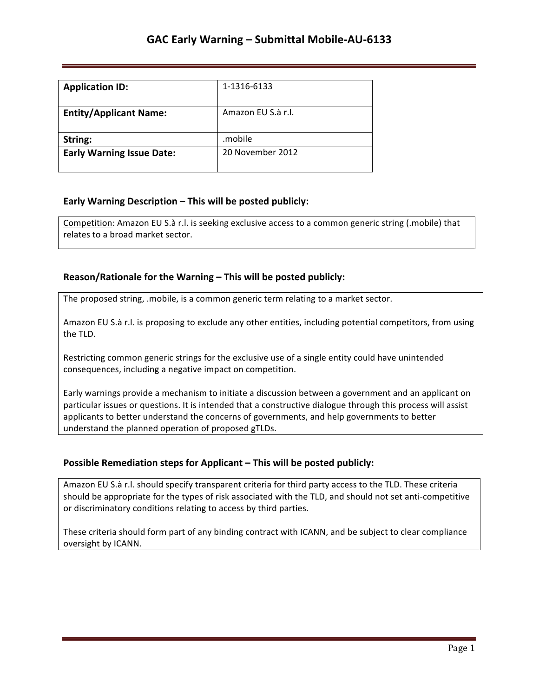| <b>Application ID:</b>           | 1-1316-6133        |
|----------------------------------|--------------------|
| <b>Entity/Applicant Name:</b>    | Amazon EU S.à r.l. |
| String:                          | .mobile            |
| <b>Early Warning Issue Date:</b> | 20 November 2012   |

## **Early Warning Description – This will be posted publicly:**

Competition: Amazon EU S.à r.l. is seeking exclusive access to a common generic string (.mobile) that relates to a broad market sector.

### **Reason/Rationale for the Warning – This will be posted publicly:**

The proposed string, .mobile, is a common generic term relating to a market sector.

Amazon EU S.à r.l. is proposing to exclude any other entities, including potential competitors, from using the TLD.

Restricting common generic strings for the exclusive use of a single entity could have unintended consequences, including a negative impact on competition.

Early warnings provide a mechanism to initiate a discussion between a government and an applicant on particular issues or questions. It is intended that a constructive dialogue through this process will assist applicants to better understand the concerns of governments, and help governments to better understand the planned operation of proposed gTLDs.

## **Possible Remediation steps for Applicant - This will be posted publicly:**

Amazon EU S.à r.l. should specify transparent criteria for third party access to the TLD. These criteria should be appropriate for the types of risk associated with the TLD, and should not set anti-competitive or discriminatory conditions relating to access by third parties.

These criteria should form part of any binding contract with ICANN, and be subject to clear compliance oversight by ICANN.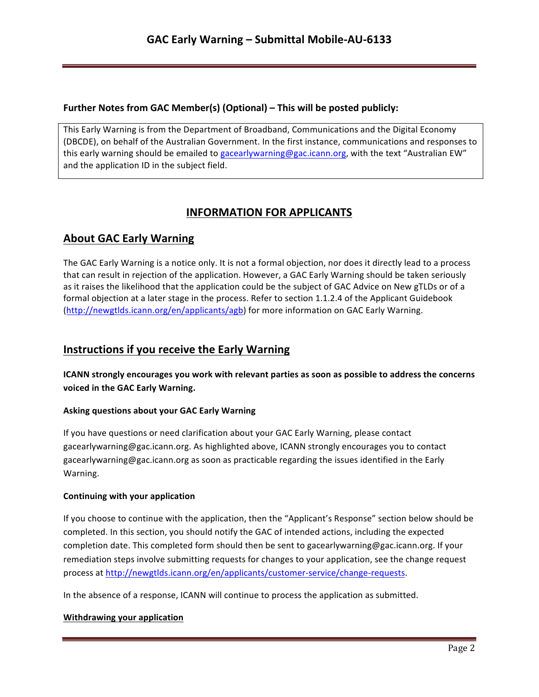### **Further Notes from GAC Member(s) (Optional) – This will be posted publicly:**

This Early Warning is from the Department of Broadband, Communications and the Digital Economy (DBCDE), on behalf of the Australian Government. In the first instance, communications and responses to this early warning should be emailed to gacearlywarning@gac.icann.org, with the text "Australian EW" and the application ID in the subject field.

# **INFORMATION FOR APPLICANTS**

# **About GAC Early Warning**

The GAC Early Warning is a notice only. It is not a formal objection, nor does it directly lead to a process that can result in rejection of the application. However, a GAC Early Warning should be taken seriously as it raises the likelihood that the application could be the subject of GAC Advice on New gTLDs or of a formal objection at a later stage in the process. Refer to section 1.1.2.4 of the Applicant Guidebook (http://newgtlds.icann.org/en/applicants/agb) for more information on GAC Early Warning.

# **Instructions if you receive the Early Warning**

**ICANN** strongly encourages you work with relevant parties as soon as possible to address the concerns voiced in the GAC Early Warning.

### **Asking questions about your GAC Early Warning**

If you have questions or need clarification about your GAC Early Warning, please contact gacearlywarning@gac.icann.org. As highlighted above, ICANN strongly encourages you to contact gacearlywarning@gac.icann.org as soon as practicable regarding the issues identified in the Early Warning. 

### **Continuing with your application**

If you choose to continue with the application, then the "Applicant's Response" section below should be completed. In this section, you should notify the GAC of intended actions, including the expected completion date. This completed form should then be sent to gacearlywarning@gac.icann.org. If your remediation steps involve submitting requests for changes to your application, see the change request process at http://newgtlds.icann.org/en/applicants/customer-service/change-requests.

In the absence of a response, ICANN will continue to process the application as submitted.

### **Withdrawing your application**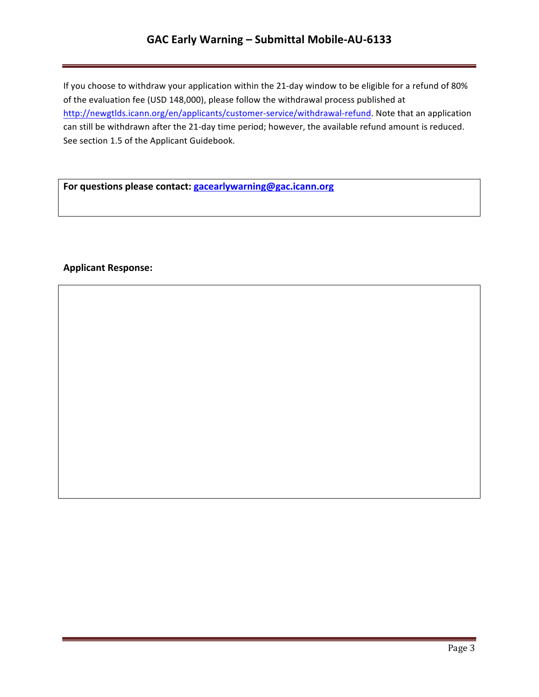# GAC Early Warning - Submittal Mobile-AU-6133

If you choose to withdraw your application within the 21-day window to be eligible for a refund of 80% of the evaluation fee (USD 148,000), please follow the withdrawal process published at http://newgtlds.icann.org/en/applicants/customer-service/withdrawal-refund. Note that an application can still be withdrawn after the 21-day time period; however, the available refund amount is reduced. See section 1.5 of the Applicant Guidebook.

For questions please contact: **gacearlywarning@gac.icann.org** 

### **Applicant Response:**